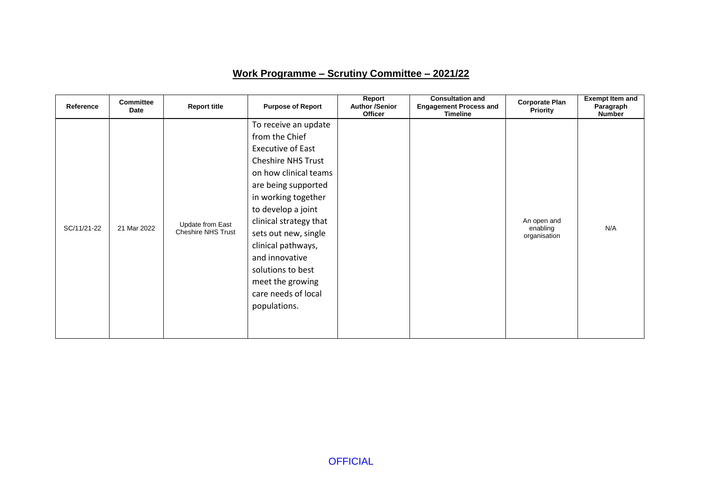## **Work Programme – Scrutiny Committee – 2021/22**

| Reference   | <b>Committee</b><br>Date | <b>Report title</b>                           | <b>Purpose of Report</b>                                                                                                                                                                                                                                                                                                                                               | Report<br><b>Author /Senior</b><br><b>Officer</b> | <b>Consultation and</b><br><b>Engagement Process and</b><br><b>Timeline</b> | <b>Corporate Plan</b><br>Priority       | <b>Exempt Item and</b><br>Paragraph<br><b>Number</b> |
|-------------|--------------------------|-----------------------------------------------|------------------------------------------------------------------------------------------------------------------------------------------------------------------------------------------------------------------------------------------------------------------------------------------------------------------------------------------------------------------------|---------------------------------------------------|-----------------------------------------------------------------------------|-----------------------------------------|------------------------------------------------------|
| SC/11/21-22 | 21 Mar 2022              | Update from East<br><b>Cheshire NHS Trust</b> | To receive an update<br>from the Chief<br><b>Executive of East</b><br><b>Cheshire NHS Trust</b><br>on how clinical teams<br>are being supported<br>in working together<br>to develop a joint<br>clinical strategy that<br>sets out new, single<br>clinical pathways,<br>and innovative<br>solutions to best<br>meet the growing<br>care needs of local<br>populations. |                                                   |                                                                             | An open and<br>enabling<br>organisation | N/A                                                  |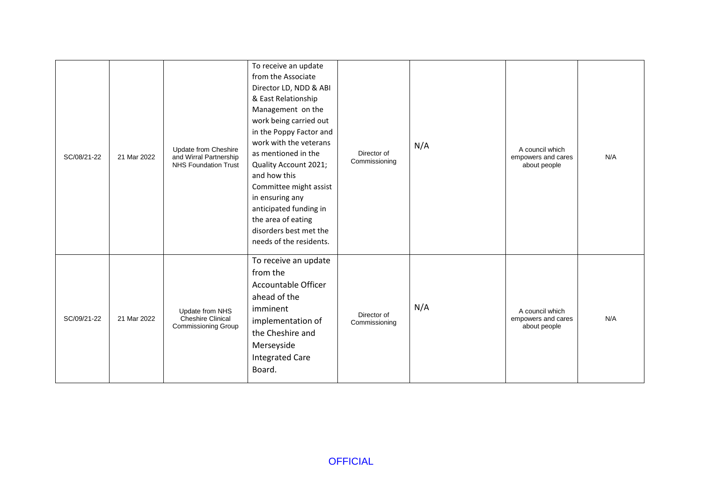| SC/08/21-22 | 21 Mar 2022 | Update from Cheshire<br>and Wirral Partnership<br><b>NHS Foundation Trust</b> | To receive an update<br>from the Associate<br>Director LD, NDD & ABI<br>& East Relationship<br>Management on the<br>work being carried out<br>in the Poppy Factor and<br>work with the veterans<br>as mentioned in the<br>Quality Account 2021;<br>and how this<br>Committee might assist<br>in ensuring any<br>anticipated funding in<br>the area of eating<br>disorders best met the<br>needs of the residents. | Director of<br>Commissioning | N/A | A council which<br>empowers and cares<br>about people | N/A |
|-------------|-------------|-------------------------------------------------------------------------------|-------------------------------------------------------------------------------------------------------------------------------------------------------------------------------------------------------------------------------------------------------------------------------------------------------------------------------------------------------------------------------------------------------------------|------------------------------|-----|-------------------------------------------------------|-----|
| SC/09/21-22 | 21 Mar 2022 | Update from NHS<br><b>Cheshire Clinical</b><br>Commissioning Group            | To receive an update<br>from the<br>Accountable Officer<br>ahead of the<br>imminent<br>implementation of<br>the Cheshire and<br>Merseyside<br><b>Integrated Care</b><br>Board.                                                                                                                                                                                                                                    | Director of<br>Commissioning | N/A | A council which<br>empowers and cares<br>about people | N/A |